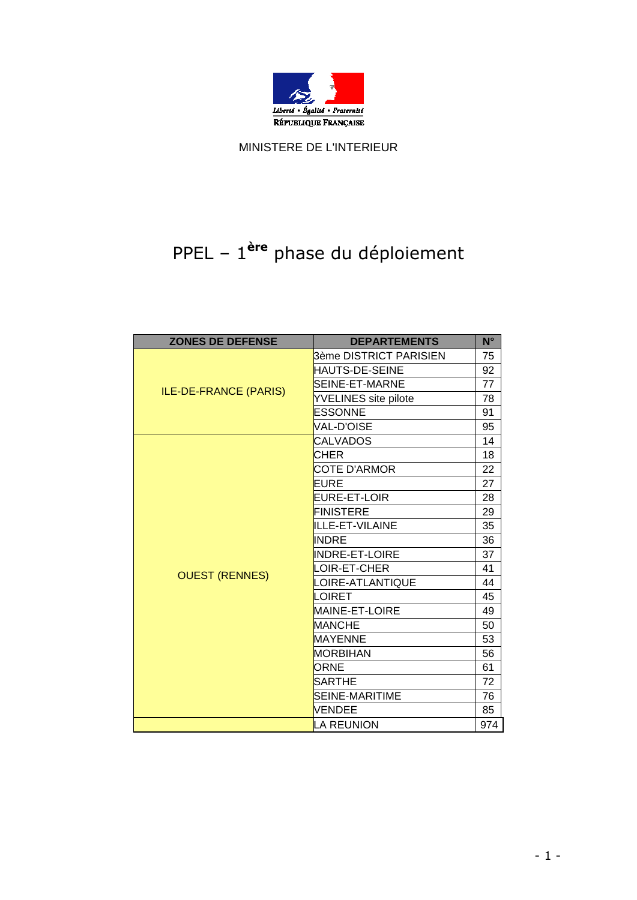

MINISTERE DE L'INTERIEUR

## PPEL – 1 **ère** phase du déploiement

| <b>ZONES DE DEFENSE</b>      | <b>DEPARTEMENTS</b>    | $N^{\circ}$ |
|------------------------------|------------------------|-------------|
| <b>ILE-DE-FRANCE (PARIS)</b> | 3ème DISTRICT PARISIEN | 75          |
|                              | HAUTS-DE-SEINE         | 92          |
|                              | SEINE-ET-MARNE         | 77          |
|                              | YVELINES site pilote   | 78          |
|                              | <b>ESSONNE</b>         | 91          |
|                              | <b>VAL-D'OISE</b>      | 95          |
|                              | CALVADOS               | 14          |
|                              | CHER                   | 18          |
| <b>OUEST (RENNES)</b>        | <b>COTE D'ARMOR</b>    | 22          |
|                              | EURE                   | 27          |
|                              | EURE-ET-LOIR           | 28          |
|                              | <b>FINISTERE</b>       | 29          |
|                              | ILLE-ET-VILAINE        | 35          |
|                              | <b>INDRE</b>           | 36          |
|                              | <b>INDRE-ET-LOIRE</b>  | 37          |
|                              | LOIR-ET-CHER           | 41          |
|                              | LOIRE-ATLANTIQUE       | 44          |
|                              | LOIRET                 | 45          |
|                              | <b>MAINE-ET-LOIRE</b>  | 49          |
|                              | <b>MANCHE</b>          | 50          |
|                              | <b>MAYENNE</b>         | 53          |
|                              | <b>MORBIHAN</b>        | 56          |
|                              | ORNE                   | 61          |
|                              | <b>SARTHE</b>          | 72          |
|                              | SEINE-MARITIME         | 76          |
|                              | VENDEE                 | 85          |
|                              | <b>LA REUNION</b>      | 974         |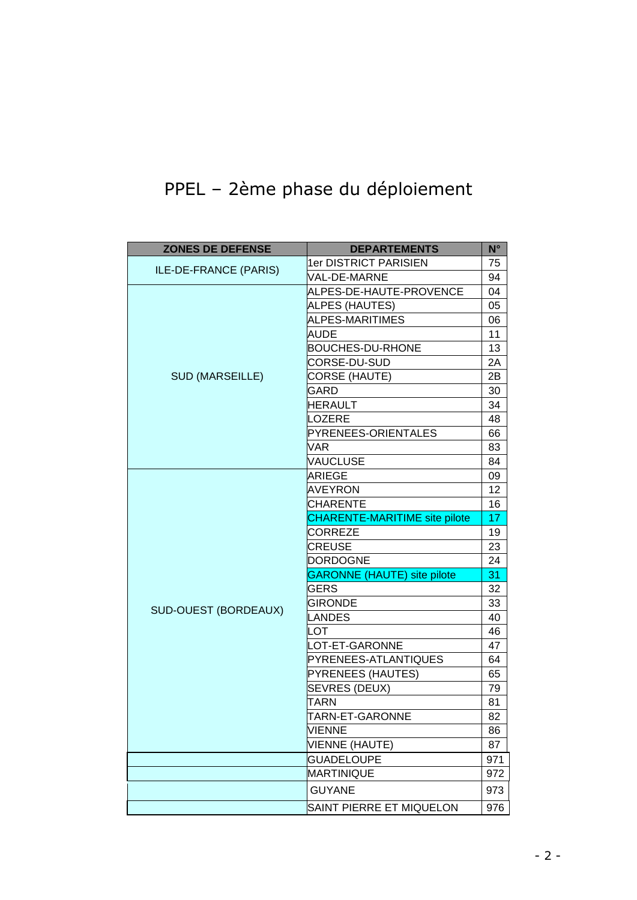## PPEL – 2ème phase du déploiement

| <b>ZONES DE DEFENSE</b> | <b>DEPARTEMENTS</b>                  | $N^{\circ}$ |
|-------------------------|--------------------------------------|-------------|
| ILE-DE-FRANCE (PARIS)   | <b>1er DISTRICT PARISIEN</b>         | 75          |
|                         | <b>VAL-DE-MARNE</b>                  | 94          |
| <b>SUD (MARSEILLE)</b>  | ALPES-DE-HAUTE-PROVENCE              | 04          |
|                         | ALPES (HAUTES)                       | 05          |
|                         | ALPES-MARITIMES                      | 06          |
|                         | <b>AUDE</b>                          | 11          |
|                         | <b>BOUCHES-DU-RHONE</b>              | 13          |
|                         | CORSE-DU-SUD                         | 2A          |
|                         | CORSE (HAUTE)                        | 2B          |
|                         | GARD                                 | 30          |
|                         | <b>HERAULT</b>                       | 34          |
|                         | LOZERE                               | 48          |
|                         | PYRENEES-ORIENTALES                  | 66          |
|                         | VAR                                  | 83          |
|                         | VAUCLUSE                             | 84          |
|                         | <b>ARIEGE</b>                        | 09          |
| SUD-OUEST (BORDEAUX)    | <b>AVEYRON</b>                       | 12          |
|                         | CHARENTE                             | 16          |
|                         | <b>CHARENTE-MARITIME site pilote</b> | 17          |
|                         | CORREZE                              | 19          |
|                         | <b>CREUSE</b>                        | 23          |
|                         | DORDOGNE                             | 24          |
|                         | <b>GARONNE (HAUTE) site pilote</b>   | 31          |
|                         | GERS                                 | 32          |
|                         | <b>GIRONDE</b>                       | 33          |
|                         | <b>LANDES</b>                        | 40          |
|                         | LOT                                  | 46          |
|                         | LOT-ET-GARONNE                       | 47          |
|                         | PYRENEES-ATLANTIQUES                 | 64          |
|                         | PYRENEES (HAUTES)                    | 65          |
|                         | <b>SEVRES (DEUX)</b>                 | 79          |
|                         | TARN                                 | 81          |
|                         | TARN-ET-GARONNE                      | 82          |
|                         | <b>VIENNE</b>                        | 86          |
|                         | <b>VIENNE (HAUTE)</b>                | 87          |
|                         | <b>GUADELOUPE</b>                    | 971         |
|                         | <b>MARTINIQUE</b>                    | 972         |
|                         | <b>GUYANE</b>                        | 973         |
|                         | SAINT PIERRE ET MIQUELON             | 976         |